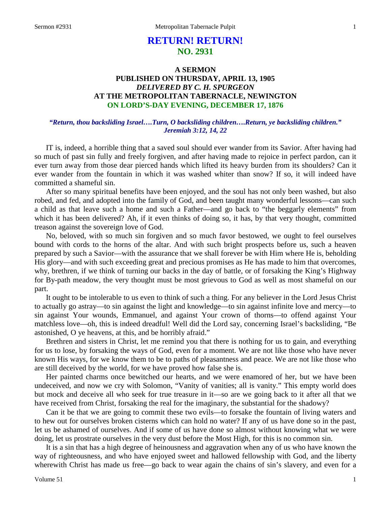# **RETURN! RETURN! NO. 2931**

# **A SERMON PUBLISHED ON THURSDAY, APRIL 13, 1905** *DELIVERED BY C. H. SPURGEON* **AT THE METROPOLITAN TABERNACLE, NEWINGTON ON LORD'S-DAY EVENING, DECEMBER 17, 1876**

## *"Return, thou backsliding Israel….Turn, O backsliding children….Return, ye backsliding children." Jeremiah 3:12, 14, 22*

IT is, indeed, a horrible thing that a saved soul should ever wander from its Savior. After having had so much of past sin fully and freely forgiven, and after having made to rejoice in perfect pardon, can it ever turn away from those dear pierced hands which lifted its heavy burden from its shoulders? Can it ever wander from the fountain in which it was washed whiter than snow? If so, it will indeed have committed a shameful sin.

After so many spiritual benefits have been enjoyed, and the soul has not only been washed, but also robed, and fed, and adopted into the family of God, and been taught many wonderful lessons—can such a child as that leave such a home and such a Father—and go back to "the beggarly elements" from which it has been delivered? Ah, if it even thinks of doing so, it has, by that very thought, committed treason against the sovereign love of God.

No, beloved, with so much sin forgiven and so much favor bestowed, we ought to feel ourselves bound with cords to the horns of the altar. And with such bright prospects before us, such a heaven prepared by such a Savior—with the assurance that we shall forever be with Him where He is, beholding His glory—and with such exceeding great and precious promises as He has made to him that overcomes, why, brethren, if we think of turning our backs in the day of battle, or of forsaking the King's Highway for By-path meadow, the very thought must be most grievous to God as well as most shameful on our part.

It ought to be intolerable to us even to think of such a thing. For any believer in the Lord Jesus Christ to actually go astray—to sin against the light and knowledge—to sin against infinite love and mercy—to sin against Your wounds, Emmanuel, and against Your crown of thorns—to offend against Your matchless love—oh, this is indeed dreadful! Well did the Lord say, concerning Israel's backsliding, "Be astonished, O ye heavens, at this, and be horribly afraid."

Brethren and sisters in Christ, let me remind you that there is nothing for us to gain, and everything for us to lose, by forsaking the ways of God, even for a moment. We are not like those who have never known His ways, for we know them to be to paths of pleasantness and peace. We are not like those who are still deceived by the world, for we have proved how false she is.

Her painted charms once bewitched our hearts, and we were enamored of her, but we have been undeceived, and now we cry with Solomon, "Vanity of vanities; all is vanity." This empty world does but mock and deceive all who seek for true treasure in it—so are we going back to it after all that we have received from Christ, forsaking the real for the imaginary, the substantial for the shadowy?

Can it be that we are going to commit these two evils—to forsake the fountain of living waters and to hew out for ourselves broken cisterns which can hold no water? If any of us have done so in the past, let us be ashamed of ourselves. And if some of us have done so almost without knowing what we were doing, let us prostrate ourselves in the very dust before the Most High, for this is no common sin.

It is a sin that has a high degree of heinousness and aggravation when any of us who have known the way of righteousness, and who have enjoyed sweet and hallowed fellowship with God, and the liberty wherewith Christ has made us free—go back to wear again the chains of sin's slavery, and even for a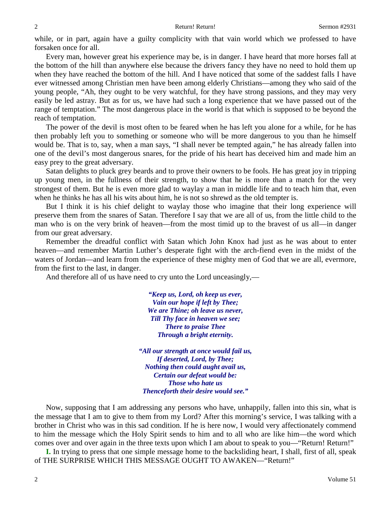while, or in part, again have a guilty complicity with that vain world which we professed to have forsaken once for all.

Every man, however great his experience may be, is in danger. I have heard that more horses fall at the bottom of the hill than anywhere else because the drivers fancy they have no need to hold them up when they have reached the bottom of the hill. And I have noticed that some of the saddest falls I have ever witnessed among Christian men have been among elderly Christians—among they who said of the young people, "Ah, they ought to be very watchful, for they have strong passions, and they may very easily be led astray. But as for us, we have had such a long experience that we have passed out of the range of temptation." The most dangerous place in the world is that which is supposed to be beyond the reach of temptation.

The power of the devil is most often to be feared when he has left you alone for a while, for he has then probably left you to something or someone who will be more dangerous to you than he himself would be. That is to, say, when a man says, "I shall never be tempted again," he has already fallen into one of the devil's most dangerous snares, for the pride of his heart has deceived him and made him an easy prey to the great adversary.

Satan delights to pluck grey beards and to prove their owners to be fools. He has great joy in tripping up young men, in the fullness of their strength, to show that he is more than a match for the very strongest of them. But he is even more glad to waylay a man in middle life and to teach him that, even when he thinks he has all his wits about him, he is not so shrewd as the old tempter is.

But I think it is his chief delight to waylay those who imagine that their long experience will preserve them from the snares of Satan. Therefore I say that we are all of us, from the little child to the man who is on the very brink of heaven—from the most timid up to the bravest of us all—in danger from our great adversary.

Remember the dreadful conflict with Satan which John Knox had just as he was about to enter heaven—and remember Martin Luther's desperate fight with the arch-fiend even in the midst of the waters of Jordan—and learn from the experience of these mighty men of God that we are all, evermore, from the first to the last, in danger.

And therefore all of us have need to cry unto the Lord unceasingly,—

*"Keep us, Lord, oh keep us ever, Vain our hope if left by Thee; We are Thine; oh leave us never, Till Thy face in heaven we see; There to praise Thee Through a bright eternity.*

*"All our strength at once would fail us, If deserted, Lord, by Thee; Nothing then could aught avail us, Certain our defeat would be: Those who hate us Thenceforth their desire would see."*

Now, supposing that I am addressing any persons who have, unhappily, fallen into this sin, what is the message that I am to give to them from my Lord? After this morning's service, I was talking with a brother in Christ who was in this sad condition. If he is here now, I would very affectionately commend to him the message which the Holy Spirit sends to him and to all who are like him—the word which comes over and over again in the three texts upon which I am about to speak to you—"Return! Return!"

**I.** In trying to press that one simple message home to the backsliding heart, I shall, first of all, speak of THE SURPRISE WHICH THIS MESSAGE OUGHT TO AWAKEN—"Return!"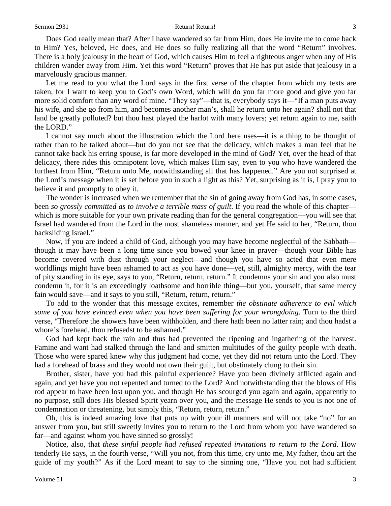#### Sermon 2931 **Return!** Return! Return!

Does God really mean that? After I have wandered so far from Him, does He invite me to come back to Him? Yes, beloved, He does, and He does so fully realizing all that the word "Return" involves. There is a holy jealousy in the heart of God, which causes Him to feel a righteous anger when any of His children wander away from Him. Yet this word "Return" proves that He has put aside that jealousy in a marvelously gracious manner.

Let me read to you what the Lord says in the first verse of the chapter from which my texts are taken, for I want to keep you to God's own Word, which will do you far more good and give you far more solid comfort than any word of mine. "They say"—that is, everybody says it—"If a man puts away his wife, and she go from him, and becomes another man's, shall he return unto her again? shall not that land be greatly polluted? but thou hast played the harlot with many lovers; yet return again to me, saith the LORD."

I cannot say much about the illustration which the Lord here uses—it is a thing to be thought of rather than to be talked about—but do you not see that the delicacy, which makes a man feel that he cannot take back his erring spouse, is far more developed in the mind of God? Yet, over the head of that delicacy, there rides this omnipotent love, which makes Him say, even to you who have wandered the furthest from Him, "Return unto Me, notwithstanding all that has happened." Are you not surprised at the Lord's message when it is set before you in such a light as this? Yet, surprising as it is, I pray you to believe it and promptly to obey it.

The wonder is increased when we remember that the sin of going away from God has, in some cases, been *so grossly committed as to involve a terrible mass of guilt*. If you read the whole of this chapter which is more suitable for your own private reading than for the general congregation—you will see that Israel had wandered from the Lord in the most shameless manner, and yet He said to her, "Return, thou backsliding Israel."

Now, if you are indeed a child of God, although you may have become neglectful of the Sabbath though it may have been a long time since you bowed your knee in prayer—though your Bible has become covered with dust through your neglect—and though you have so acted that even mere worldlings might have been ashamed to act as you have done—yet, still, almighty mercy, with the tear of pity standing in its eye, says to you, "Return, return, return." It condemns your sin and you also must condemn it, for it is an exceedingly loathsome and horrible thing—but you, yourself, that same mercy fain would save—and it says to you still, "Return, return, return."

To add to the wonder that this message excites, remember *the obstinate adherence to evil which some of you have evinced even when you have been suffering for your wrongdoing*. Turn to the third verse, "Therefore the showers have been withholden, and there hath been no latter rain; and thou hadst a whore's forehead, thou refusedst to be ashamed."

God had kept back the rain and thus had prevented the ripening and ingathering of the harvest. Famine and want had stalked through the land and smitten multitudes of the guilty people with death. Those who were spared knew why this judgment had come, yet they did not return unto the Lord. They had a forehead of brass and they would not own their guilt, but obstinately clung to their sin.

Brother, sister, have you had this painful experience? Have you been divinely afflicted again and again, and yet have you not repented and turned to the Lord? And notwithstanding that the blows of His rod appear to have been lost upon you, and though He has scourged you again and again, apparently to no purpose, still does His blessed Spirit yearn over you, and the message He sends to you is not one of condemnation or threatening, but simply this, "Return, return, return."

Oh, this is indeed amazing love that puts up with your ill manners and will not take "no" for an answer from you, but still sweetly invites you to return to the Lord from whom you have wandered so far—and against whom you have sinned so grossly!

Notice, also, that *these sinful people had refused repeated invitations to return to the Lord*. How tenderly He says, in the fourth verse, "Will you not, from this time, cry unto me, My father, thou art the guide of my youth?" As if the Lord meant to say to the sinning one, "Have you not had sufficient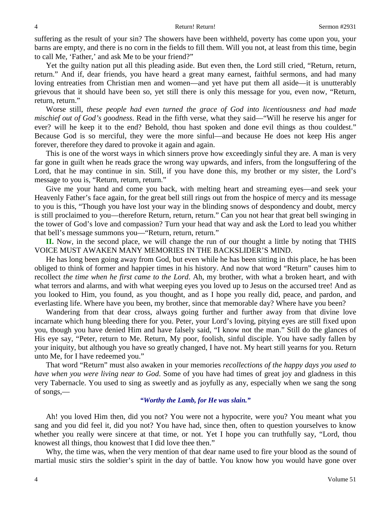suffering as the result of your sin? The showers have been withheld, poverty has come upon you, your barns are empty, and there is no corn in the fields to fill them. Will you not, at least from this time, begin to call Me, 'Father,' and ask Me to be your friend?"

Yet the guilty nation put all this pleading aside. But even then, the Lord still cried, "Return, return, return." And if, dear friends, you have heard a great many earnest, faithful sermons, and had many loving entreaties from Christian men and women—and yet have put them all aside—it is unutterably grievous that it should have been so, yet still there is only this message for you, even now, "Return, return, return."

Worse still, *these people had even turned the grace of God into licentiousness and had made mischief out of God's goodness*. Read in the fifth verse, what they said—"Will he reserve his anger for ever? will he keep it to the end? Behold, thou hast spoken and done evil things as thou couldest." Because God is so merciful, they were the more sinful—and because He does not keep His anger forever, therefore they dared to provoke it again and again.

This is one of the worst ways in which sinners prove how exceedingly sinful they are. A man is very far gone in guilt when he reads grace the wrong way upwards, and infers, from the longsuffering of the Lord, that he may continue in sin. Still, if you have done this, my brother or my sister, the Lord's message to you is, "Return, return, return."

Give me your hand and come you back, with melting heart and streaming eyes—and seek your Heavenly Father's face again, for the great bell still rings out from the hospice of mercy and its message to you is this, "Though you have lost your way in the blinding snows of despondency and doubt, mercy is still proclaimed to you—therefore Return, return, return." Can you not hear that great bell swinging in the tower of God's love and compassion? Turn your head that way and ask the Lord to lead you whither that bell's message summons you—"Return, return, return."

**II.** Now, in the second place, we will change the run of our thought a little by noting that THIS VOICE MUST AWAKEN MANY MEMORIES IN THE BACKSLIDER'S MIND.

He has long been going away from God, but even while he has been sitting in this place, he has been obliged to think of former and happier times in his history. And now that word "Return" causes him to recollect *the time when he first came to the Lord*. Ah, my brother, with what a broken heart, and with what terrors and alarms, and with what weeping eyes you loved up to Jesus on the accursed tree! And as you looked to Him, you found, as you thought, and as I hope you really did, peace, and pardon, and everlasting life. Where have you been, my brother, since that memorable day? Where have you been?

Wandering from that dear cross, always going further and further away from that divine love incarnate which hung bleeding there for you. Peter, your Lord's loving, pitying eyes are still fixed upon you, though you have denied Him and have falsely said, "I know not the man." Still do the glances of His eye say, "Peter, return to Me. Return, My poor, foolish, sinful disciple. You have sadly fallen by your iniquity, but although you have so greatly changed, I have not. My heart still yearns for you. Return unto Me, for I have redeemed you."

That word "Return" must also awaken in your memories *recollections of the happy days you used to have when you were living near to God*. Some of you have had times of great joy and gladness in this very Tabernacle. You used to sing as sweetly and as joyfully as any, especially when we sang the song of songs,—

# *"Worthy the Lamb, for He was slain."*

Ah! you loved Him then, did you not? You were not a hypocrite, were you? You meant what you sang and you did feel it, did you not? You have had, since then, often to question yourselves to know whether you really were sincere at that time, or not. Yet I hope you can truthfully say, "Lord, thou knowest all things, thou knowest that I did love thee then."

Why, the time was, when the very mention of that dear name used to fire your blood as the sound of martial music stirs the soldier's spirit in the day of battle. You know how you would have gone over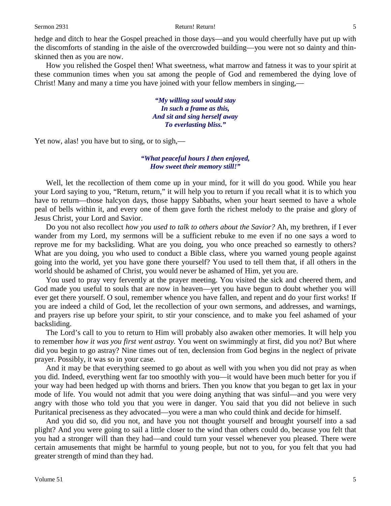hedge and ditch to hear the Gospel preached in those days—and you would cheerfully have put up with the discomforts of standing in the aisle of the overcrowded building—you were not so dainty and thinskinned then as you are now.

How you relished the Gospel then! What sweetness, what marrow and fatness it was to your spirit at these communion times when you sat among the people of God and remembered the dying love of Christ! Many and many a time you have joined with your fellow members in singing,—

> *"My willing soul would stay In such a frame as this, And sit and sing herself away To everlasting bliss."*

Yet now, alas! you have but to sing, or to sigh,—

# *"What peaceful hours I then enjoyed, How sweet their memory still!"*

Well, let the recollection of them come up in your mind, for it will do you good. While you hear your Lord saying to you, "Return, return," it will help you to return if you recall what it is to which you have to return—those halcyon days, those happy Sabbaths, when your heart seemed to have a whole peal of bells within it, and every one of them gave forth the richest melody to the praise and glory of Jesus Christ, your Lord and Savior.

Do you not also recollect *how you used to talk to others about the Savior?* Ah, my brethren, if I ever wander from my Lord, my sermons will be a sufficient rebuke to me even if no one says a word to reprove me for my backsliding. What are you doing, you who once preached so earnestly to others? What are you doing, you who used to conduct a Bible class, where you warned young people against going into the world, yet you have gone there yourself? You used to tell them that, if all others in the world should be ashamed of Christ, you would never be ashamed of Him, yet you are.

You used to pray very fervently at the prayer meeting. You visited the sick and cheered them, and God made you useful to souls that are now in heaven—yet you have begun to doubt whether you will ever get there yourself. O soul, remember whence you have fallen, and repent and do your first works! If you are indeed a child of God, let the recollection of your own sermons, and addresses, and warnings, and prayers rise up before your spirit, to stir your conscience, and to make you feel ashamed of your backsliding.

The Lord's call to you to return to Him will probably also awaken other memories. It will help you to remember *how it was you first went astray.* You went on swimmingly at first, did you not? But where did you begin to go astray? Nine times out of ten, declension from God begins in the neglect of private prayer. Possibly, it was so in your case.

And it may be that everything seemed to go about as well with you when you did not pray as when you did. Indeed, everything went far too smoothly with you—it would have been much better for you if your way had been hedged up with thorns and briers. Then you know that you began to get lax in your mode of life. You would not admit that you were doing anything that was sinful—and you were very angry with those who told you that you were in danger. You said that you did not believe in such Puritanical preciseness as they advocated—you were a man who could think and decide for himself.

And you did so, did you not, and have you not thought yourself and brought yourself into a sad plight? And you were going to sail a little closer to the wind than others could do, because you felt that you had a stronger will than they had—and could turn your vessel whenever you pleased. There were certain amusements that might be harmful to young people, but not to you, for you felt that you had greater strength of mind than they had.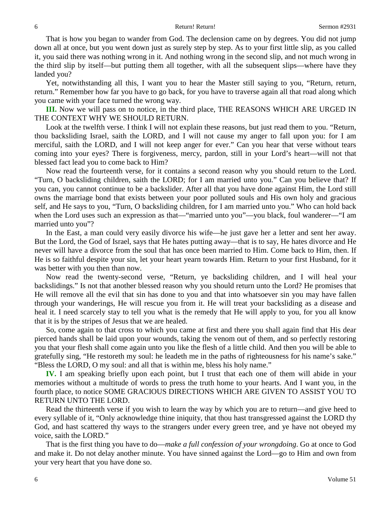That is how you began to wander from God. The declension came on by degrees. You did not jump down all at once, but you went down just as surely step by step. As to your first little slip, as you called it, you said there was nothing wrong in it. And nothing wrong in the second slip, and not much wrong in the third slip by itself—but putting them all together, with all the subsequent slips—where have they landed you?

Yet, notwithstanding all this, I want you to hear the Master still saying to you, "Return, return, return." Remember how far you have to go back, for you have to traverse again all that road along which you came with your face turned the wrong way.

**III.** Now we will pass on to notice, in the third place, THE REASONS WHICH ARE URGED IN THE CONTEXT WHY WE SHOULD RETURN.

Look at the twelfth verse. I think I will not explain these reasons, but just read them to you. "Return, thou backsliding Israel, saith the LORD, and I will not cause my anger to fall upon you: for I am merciful, saith the LORD, and I will not keep anger for ever." Can you hear that verse without tears coming into your eyes? There is forgiveness, mercy, pardon, still in your Lord's heart—will not that blessed fact lead you to come back to Him?

Now read the fourteenth verse, for it contains a second reason why you should return to the Lord. "Turn, O backsliding children, saith the LORD; for I am married unto you." Can you believe that? If you can, you cannot continue to be a backslider. After all that you have done against Him, the Lord still owns the marriage bond that exists between your poor polluted souls and His own holy and gracious self, and He says to you, "Turn, O backsliding children, for I am married unto you." Who can hold back when the Lord uses such an expression as that—"married unto you"—you black, foul wanderer—"I am married unto you"?

In the East, a man could very easily divorce his wife—he just gave her a letter and sent her away. But the Lord, the God of Israel, says that He hates putting away—that is to say, He hates divorce and He never will have a divorce from the soul that has once been married to Him. Come back to Him, then. If He is so faithful despite your sin, let your heart yearn towards Him. Return to your first Husband, for it was better with you then than now.

Now read the twenty-second verse, "Return, ye backsliding children, and I will heal your backslidings." Is not that another blessed reason why you should return unto the Lord? He promises that He will remove all the evil that sin has done to you and that into whatsoever sin you may have fallen through your wanderings, He will rescue you from it. He will treat your backsliding as a disease and heal it. I need scarcely stay to tell you what is the remedy that He will apply to you, for you all know that it is by the stripes of Jesus that we are healed.

So, come again to that cross to which you came at first and there you shall again find that His dear pierced hands shall be laid upon your wounds, taking the venom out of them, and so perfectly restoring you that your flesh shall come again unto you like the flesh of a little child. And then you will be able to gratefully sing, "He restoreth my soul: he leadeth me in the paths of righteousness for his name's sake." "Bless the LORD, O my soul: and all that is within me, bless his holy name."

**IV.** I am speaking briefly upon each point, but I trust that each one of them will abide in your memories without a multitude of words to press the truth home to your hearts. And I want you, in the fourth place, to notice SOME GRACIOUS DIRECTIONS WHICH ARE GIVEN TO ASSIST YOU TO RETURN UNTO THE LORD.

Read the thirteenth verse if you wish to learn the way by which you are to return—and give heed to every syllable of it, "Only acknowledge thine iniquity, that thou hast transgressed against the LORD thy God, and hast scattered thy ways to the strangers under every green tree, and ye have not obeyed my voice, saith the LORD."

That is the first thing you have to do—*make a full confession of your wrongdoing*. Go at once to God and make it. Do not delay another minute. You have sinned against the Lord—go to Him and own from your very heart that you have done so.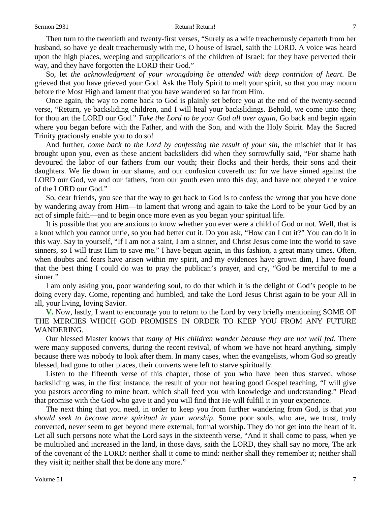#### Sermon 2931 **Return!** Return! Return!

Then turn to the twentieth and twenty-first verses, "Surely as a wife treacherously departeth from her husband, so have ye dealt treacherously with me, O house of Israel, saith the LORD. A voice was heard upon the high places, weeping and supplications of the children of Israel: for they have perverted their way, and they have forgotten the LORD their God."

So, let *the acknowledgment of your wrongdoing be attended with deep contrition of heart*. Be grieved that you have grieved your God. Ask the Holy Spirit to melt your spirit, so that you may mourn before the Most High and lament that you have wandered so far from Him.

Once again, the way to come back to God is plainly set before you at the end of the twenty-second verse, "Return, ye backsliding children, and I will heal your backslidings. Behold, we come unto thee; for thou art the LORD our God." *Take the Lord to be your God all over again,* Go back and begin again where you began before with the Father, and with the Son, and with the Holy Spirit. May the Sacred Trinity graciously enable you to do so!

And further, *come back to the Lord by confessing the result of your sin*, the mischief that it has brought upon you, even as these ancient backsliders did when they sorrowfully said, "For shame hath devoured the labor of our fathers from our youth; their flocks and their herds, their sons and their daughters. We lie down in our shame, and our confusion covereth us: for we have sinned against the LORD our God, we and our fathers, from our youth even unto this day, and have not obeyed the voice of the LORD our God."

So, dear friends, you see that the way to get back to God is to confess the wrong that you have done by wandering away from Him—to lament that wrong and again to take the Lord to be your God by an act of simple faith—and to begin once more even as you began your spiritual life.

It is possible that you are anxious to know whether you ever were a child of God or not. Well, that is a knot which you cannot untie, so you had better cut it. Do you ask, "How can I cut it?" You can do it in this way. Say to yourself, "If I am not a saint, I am a sinner, and Christ Jesus come into the world to save sinners, so I will trust Him to save me." I have begun again, in this fashion, a great many times. Often, when doubts and fears have arisen within my spirit, and my evidences have grown dim, I have found that the best thing I could do was to pray the publican's prayer, and cry, "God be merciful to me a sinner."

I am only asking you, poor wandering soul, to do that which it is the delight of God's people to be doing every day. Come, repenting and humbled, and take the Lord Jesus Christ again to be your All in all, your living, loving Savior.

**V.** Now, lastly, I want to encourage you to return to the Lord by very briefly mentioning SOME OF THE MERCIES WHICH GOD PROMISES IN ORDER TO KEEP YOU FROM ANY FUTURE WANDERING.

Our blessed Master knows that *many of His children wander because they are not well fed*. There were many supposed converts, during the recent revival, of whom we have not heard anything, simply because there was nobody to look after them. In many cases, when the evangelists, whom God so greatly blessed, had gone to other places, their converts were left to starve spiritually.

Listen to the fifteenth verse of this chapter, those of you who have been thus starved, whose backsliding was, in the first instance, the result of your not hearing good Gospel teaching, "I will give you pastors according to mine heart, which shall feed you with knowledge and understanding." Plead that promise with the God who gave it and you will find that He will fulfill it in your experience.

The next thing that you need, in order to keep you from further wandering from God, is that *you should seek to become more spiritual in your worship*. Some poor souls, who are, we trust, truly converted, never seem to get beyond mere external, formal worship. They do not get into the heart of it. Let all such persons note what the Lord says in the sixteenth verse, "And it shall come to pass, when ye be multiplied and increased in the land, in those days, saith the LORD, they shall say no more, The ark of the covenant of the LORD: neither shall it come to mind: neither shall they remember it; neither shall they visit it; neither shall that be done any more."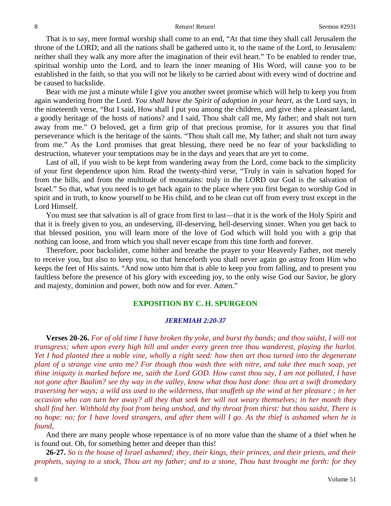That is to say, mere formal worship shall come to an end, "At that time they shall call Jerusalem the throne of the LORD; and all the nations shall be gathered unto it, to the name of the Lord, to Jerusalem: neither shall they walk any more after the imagination of their evil heart." To be enabled to render true, spiritual worship unto the Lord, and to learn the inner meaning of His Word, will cause you to be established in the faith, so that you will not be likely to be carried about with every wind of doctrine and be caused to backslide.

Bear with me just a minute while I give you another sweet promise which will help to keep you from again wandering from the Lord. *You shall have the Spirit of adoption in your heart*, as the Lord says, in the nineteenth verse, "But I said, How shall I put you among the children, and give thee a pleasant land, a goodly heritage of the hosts of nations? and I said, Thou shalt call me, My father; and shalt not turn away from me." O beloved, get a firm grip of that precious promise, for it assures you that final perseverance which is the heritage of the saints. "Thou shalt call me, My father; and shalt not turn away from me." As the Lord promises that great blessing, there need be no fear of your backsliding to destruction, whatever your temptations may be in the days and years that are yet to come.

Last of all, if you wish to be kept from wandering away from the Lord, come back to the simplicity of your first dependence upon him. Read the twenty-third verse, "Truly in vain is salvation hoped for from the hills, and from the multitude of mountains: truly in the LORD our God is the salvation of Israel." So that, what you need is to get back again to the place where you first began to worship God in spirit and in truth, to know yourself to be His child, and to be clean cut off from every trust except in the Lord Himself.

You must see that salvation is all of grace from first to last—that it is the work of the Holy Spirit and that it is freely given to you, an undeserving, ill-deserving, hell-deserving sinner. When you get back to that blessed position, you will learn more of the love of God which will hold you with a grip that nothing can loose, and from which you shall never escape from this time forth and forever.

Therefore, poor backslider, come hither and breathe the prayer to your Heavenly Father, not merely to receive you, but also to keep you, so that henceforth you shall never again go astray from Him who keeps the feet of His saints. "And now unto him that is able to keep you from falling, and to present you faultless before the presence of his glory with exceeding joy, to the only wise God our Savior, be glory and majesty, dominion and power, both now and for ever. Amen."

## **EXPOSITION BY C. H. SPURGEON**

### *JEREMIAH 2:20-37*

**Verses 20-26.** *For of old time I have broken thy yoke, and burst thy bands; and thou saidst, I will not transgress; when upon every high hill and under every green tree thou wanderest, playing the harlot. Yet I had planted thee a noble vine, wholly a right seed: how then art thou turned into the degenerate plant of a strange vine unto me? For though thou wash thee with nitre, and take thee much soap, yet thine iniquity is marked before me, saith the Lord GOD. How canst thou say, I am not polluted, I have not gone after Baalim? see thy way in the valley, know what thou hast done: thou art a swift dromedary traversing her ways; a wild ass used to the wilderness, that snuffeth up the wind at her pleasure ; in her occasion who can turn her away? all they that seek her will not weary themselves; in her month they shall find her. Withhold thy foot from being unshod, and thy throat from thirst: but thou saidst, There is no hope: no; for I have loved strangers, and after them will I go. As the thief is ashamed when he is found,* 

And there are many people whose repentance is of no more value than the shame of a thief when he is found out. Oh, for something better and deeper than this!

**26-27.** *So is the house of Israel ashamed; they, their kings, their princes, and their priests, and their prophets, saying to a stock, Thou art my father; and to a stone, Thou hast brought me forth: for they*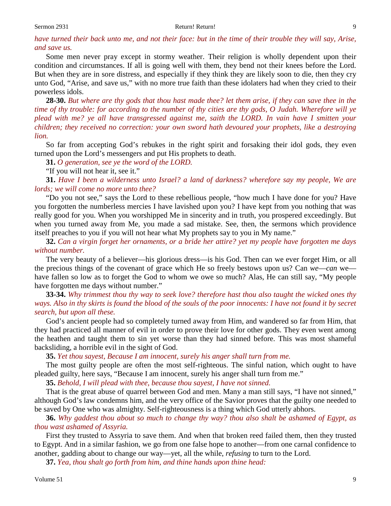#### Sermon 2931 **Return!** Return! Return!

*have turned their back unto me, and not their face: but in the time of their trouble they will say, Arise, and save us.*

Some men never pray except in stormy weather. Their religion is wholly dependent upon their condition and circumstances. If all is going well with them, they bend not their knees before the Lord. But when they are in sore distress, and especially if they think they are likely soon to die, then they cry unto God, "Arise, and save us," with no more true faith than these idolaters had when they cried to their powerless idols.

**28-30.** *But where are thy gods that thou hast made thee? let them arise, if they can save thee in the time of thy trouble: for according to the number of thy cities are thy gods, O Judah. Wherefore will ye plead with me? ye all have transgressed against me, saith the LORD. In vain have I smitten your children; they received no correction: your own sword hath devoured your prophets, like a destroying lion.*

So far from accepting God's rebukes in the right spirit and forsaking their idol gods, they even turned upon the Lord's messengers and put His prophets to death.

**31.** *O generation, see ye the word of the LORD.* 

"If you will not hear it, see it."

**31.** *Have I been a wilderness unto Israel? a land of darkness? wherefore say my people, We are lords; we will come no more unto thee?*

"Do you not see," says the Lord to these rebellious people, "how much I have done for you? Have you forgotten the numberless mercies I have lavished upon you? I have kept from you nothing that was really good for you. When you worshipped Me in sincerity and in truth, you prospered exceedingly. But when you turned away from Me, you made a sad mistake. See, then, the sermons which providence itself preaches to you if you will not hear what My prophets say to you in My name."

**32.** *Can a virgin forget her ornaments, or a bride her attire? yet my people have forgotten me days without number.* 

The very beauty of a believer—his glorious dress—is his God. Then can we ever forget Him, or all the precious things of the covenant of grace which He so freely bestows upon us? Can *we*—*can* we have fallen so low as to forget the God to whom we owe so much? Alas, He can still say, "My people have forgotten me days without number."

**33-34.** *Why trimmest thou thy way to seek love? therefore hast thou also taught the wicked ones thy ways. Also in thy skirts is found the blood of the souls of the poor innocents: I have not found it by secret search, but upon all these.*

God's ancient people had so completely turned away from Him, and wandered so far from Him, that they had practiced all manner of evil in order to prove their love for other gods. They even went among the heathen and taught them to sin yet worse than they had sinned before. This was most shameful backsliding, a horrible evil in the sight of God.

**35.** *Yet thou sayest, Because I am innocent, surely his anger shall turn from me.*

The most guilty people are often the most self-righteous. The sinful nation, which ought to have pleaded guilty, here says, "Because I am innocent, surely his anger shall turn from me."

**35.** *Behold, I will plead with thee, because thou sayest, I have not sinned.*

That is the great abuse of quarrel between God and men. Many a man still says, "I have not sinned," although God's law condemns him, and the very office of the Savior proves that the guilty one needed to be saved by One who was almighty. Self-righteousness is a thing which God utterly abhors.

**36.** *Why gaddest thou about so much to change thy way? thou also shalt be ashamed of Egypt, as thou wast ashamed of Assyria.*

First they trusted to Assyria to save them. And when that broken reed failed them, then they trusted to Egypt. And in a similar fashion, we go from one false hope to another—from one carnal confidence to another, gadding about to change our way—yet, all the while, *refusing* to turn to the Lord.

**37.** *Yea, thou shalt go forth from him, and thine hands upon thine head:*